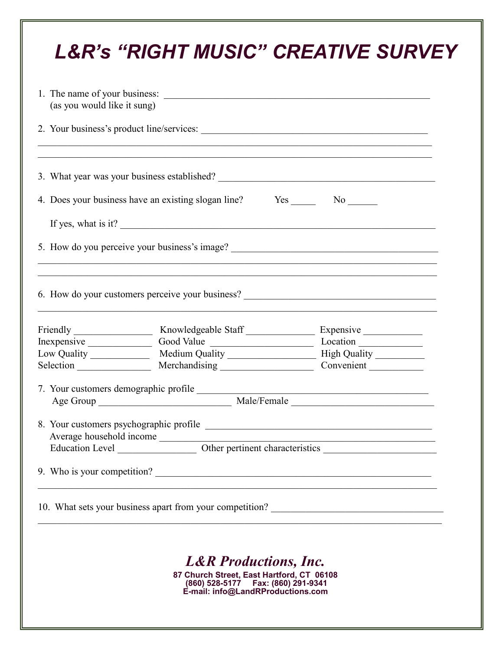| (as you would like it sung) | 1. The name of your business:                                                     |                                                                                                                                                                        |
|-----------------------------|-----------------------------------------------------------------------------------|------------------------------------------------------------------------------------------------------------------------------------------------------------------------|
|                             | ,我们也不能在这里的人,我们也不能在这里的人,我们也不能在这里的人,我们也不能在这里的人,我们也不能在这里的人,我们也不能在这里的人,我们也不能在这里的人,我们也 |                                                                                                                                                                        |
|                             |                                                                                   |                                                                                                                                                                        |
|                             |                                                                                   |                                                                                                                                                                        |
|                             | If yes, what is it?                                                               |                                                                                                                                                                        |
|                             |                                                                                   | 5. How do you perceive your business's image? ___________________________________<br>,我们也不能在这里的人,我们也不能在这里的人,我们也不能在这里的人,我们也不能在这里的人,我们也不能在这里的人,我们也不能在这里的人,我们也不能在这里的人,我们也 |
|                             |                                                                                   | 6. How do your customers perceive your business? ________________________________                                                                                      |
|                             |                                                                                   |                                                                                                                                                                        |
|                             | Inexpensive Cood Value Cood Value Location                                        |                                                                                                                                                                        |
|                             | Selection Merchandising Convenient                                                |                                                                                                                                                                        |
|                             |                                                                                   |                                                                                                                                                                        |
|                             |                                                                                   | <u> 1989 - Johann Barbara, marka a shekara tsa 1989 - An tsa 1989 - An tsa 1989 - An tsa 1989 - An tsa 1989 - An</u>                                                   |
|                             |                                                                                   | Age Group Male/Female                                                                                                                                                  |
|                             |                                                                                   | 8. Your customers psychographic profile                                                                                                                                |
|                             |                                                                                   |                                                                                                                                                                        |
|                             |                                                                                   |                                                                                                                                                                        |
|                             |                                                                                   | 9. Who is your competition?                                                                                                                                            |
|                             |                                                                                   | 10. What sets your business apart from your competition? ________________________                                                                                      |
|                             |                                                                                   |                                                                                                                                                                        |
|                             | <b>L&amp;R</b> Productions, Inc.<br>87 Church Street, East Hartford, CT 06108     |                                                                                                                                                                        |